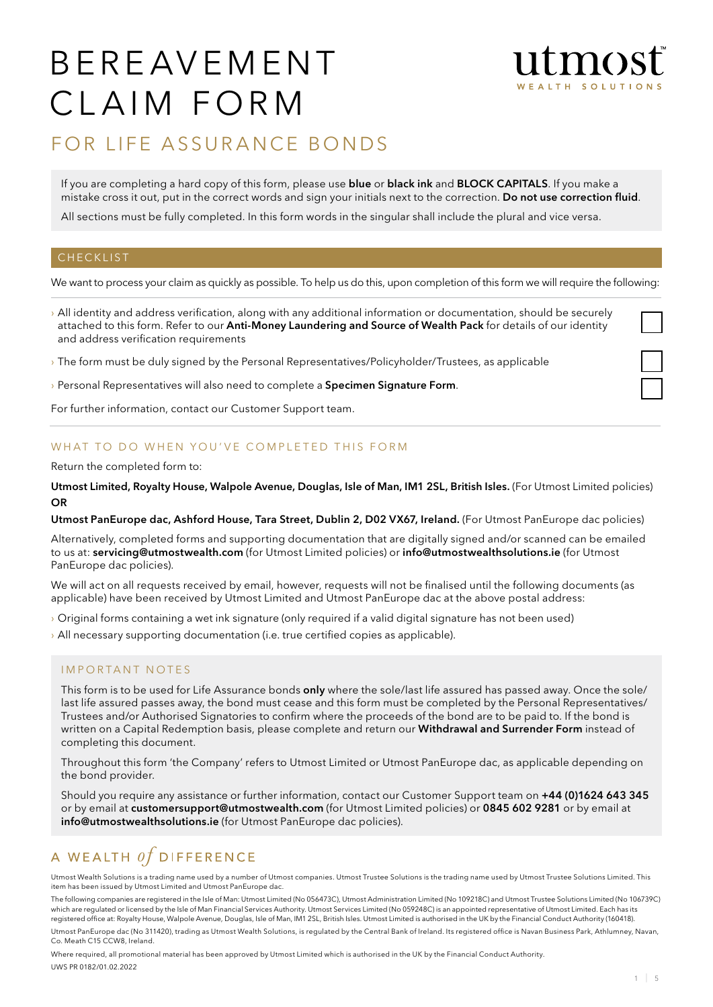# B E R E AV E M E N T CLAIM FORM



# FOR LIFE ASSURANCE BONDS

If you are completing a hard copy of this form, please use **blue** or **black ink** and **BLOCK CAPITALS**. If you make a mistake cross it out, put in the correct words and sign your initials next to the correction. Do not use correction fluid.

All sections must be fully completed. In this form words in the singular shall include the plural and vice versa.

#### **CHECKLIST**

We want to process your claim as quickly as possible. To help us do this, upon completion of this form we will require the following:

- › All identity and address verification, along with any additional information or documentation, should be securely attached to this form. Refer to our Anti-Money Laundering and Source of Wealth Pack for details of our identity and address verification requirements
- › The form must be duly signed by the Personal Representatives/Policyholder/Trustees, as applicable
- > Personal Representatives will also need to complete a Specimen Signature Form.

For further information, contact our Customer Support team.

#### WHAT TO DO WHEN YOU'VE COMPLETED THIS FORM

#### Return the completed form to:

Utmost Limited, Royalty House, Walpole Avenue, Douglas, Isle of Man, IM1 2SL, British Isles. (For Utmost Limited policies) **OR** 

#### Utmost PanEurope dac, Ashford House, Tara Street, Dublin 2, D02 VX67, Ireland. (For Utmost PanEurope dac policies)

Alternatively, completed forms and supporting documentation that are digitally signed and/or scanned can be emailed to us at: servicing@utmostwealth.com (for Utmost Limited policies) or info@utmostwealthsolutions.ie (for Utmost PanEurope dac policies).

We will act on all requests received by email, however, requests will not be finalised until the following documents (as applicable) have been received by Utmost Limited and Utmost PanEurope dac at the above postal address:

- › Original forms containing a wet ink signature (only required if a valid digital signature has not been used)
- › All necessary supporting documentation (i.e. true certified copies as applicable).

#### IMPORTANT NOTES

This form is to be used for Life Assurance bonds only where the sole/last life assured has passed away. Once the sole/ last life assured passes away, the bond must cease and this form must be completed by the Personal Representatives/ Trustees and/or Authorised Signatories to confirm where the proceeds of the bond are to be paid to. If the bond is written on a Capital Redemption basis, please complete and return our Withdrawal and Surrender Form instead of completing this document.

Throughout this form 'the Company' refers to Utmost Limited or Utmost PanEurope dac, as applicable depending on the bond provider.

Should you require any assistance or further information, contact our Customer Support team on +44 (0)1624 643 345 or by email at customersupport@utmostwealth.com (for Utmost Limited policies) or 0845 602 9281 or by email at info@utmostwealthsolutions.ie (for Utmost PanEurope dac policies).

## A WEALTH  $of$  DIFFERENCE

Utmost Wealth Solutions is a trading name used by a number of Utmost companies. Utmost Trustee Solutions is the trading name used by Utmost Trustee Solutions Limited. This item has been issued by Utmost Limited and Utmost PanEurope dac.

The following companies are registered in the Isle of Man: Utmost Limited (No 056473C), Utmost Administration Limited (No 109218C) and Utmost Trustee Solutions Limited (No 106739C) which are regulated or licensed by the Isle of Man Financial Services Authority. Utmost Services Limited (No 059248C) is an appointed representative of Utmost Limited. Each has its registered office at: Royalty House, Walpole Avenue, Douglas, Isle of Man, IM1 2SL, British Isles. Utmost Limited is authorised in the UK by the Financial Conduct Authority (160418).

Utmost PanEurope dac (No 311420), trading as Utmost Wealth Solutions, is regulated by the Central Bank of Ireland. Its registered office is Navan Business Park, Athlumney, Navan, Co. Meath C15 CCW8, Ireland.

Where required, all promotional material has been approved by Utmost Limited which is authorised in the UK by the Financial Conduct Authority. UWS PR 0182/01.02.2022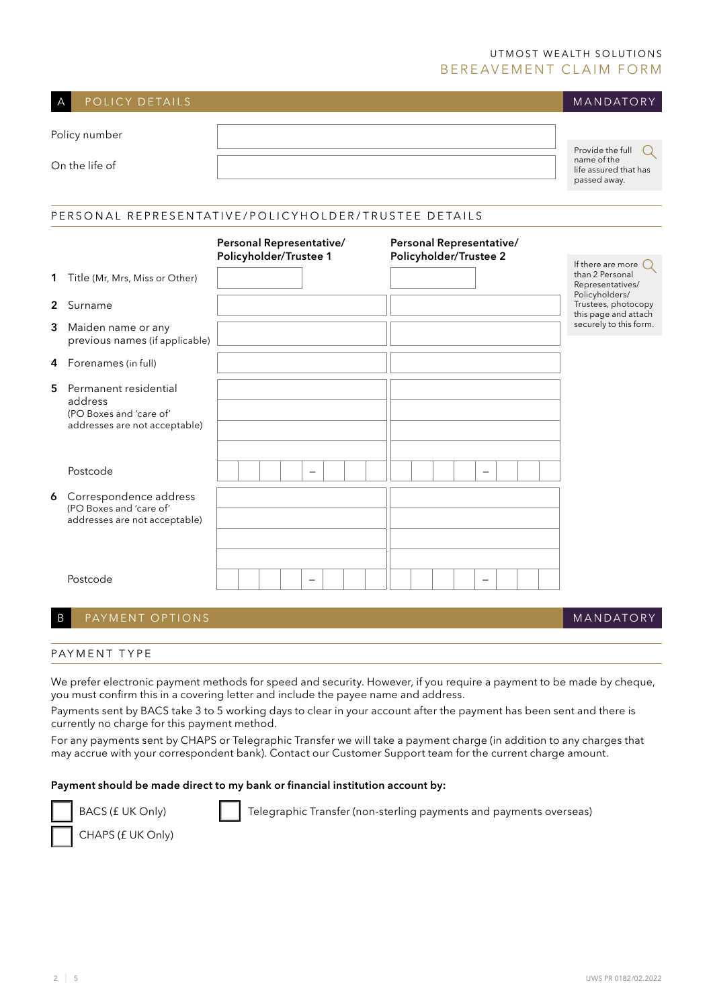### UTMOST WEALTH SOLUTIONS BEREAVEMENT CLAIM FORM

| A              | POLICY DETAILS                                                                               |                                                                                                          | MANDATORY                                                                                |  |  |  |  |  |  |  |  |  |  |  |
|----------------|----------------------------------------------------------------------------------------------|----------------------------------------------------------------------------------------------------------|------------------------------------------------------------------------------------------|--|--|--|--|--|--|--|--|--|--|--|
|                | Policy number                                                                                |                                                                                                          |                                                                                          |  |  |  |  |  |  |  |  |  |  |  |
| On the life of |                                                                                              |                                                                                                          | Provide the full<br>$\mathsf{Q}$<br>name of the<br>life assured that has<br>passed away. |  |  |  |  |  |  |  |  |  |  |  |
|                |                                                                                              |                                                                                                          |                                                                                          |  |  |  |  |  |  |  |  |  |  |  |
|                | PERSONAL REPRESENTATIVE/POLICYHOLDER/TRUSTEE DETAILS                                         |                                                                                                          |                                                                                          |  |  |  |  |  |  |  |  |  |  |  |
|                |                                                                                              | Personal Representative/<br>Personal Representative/<br>Policyholder/Trustee 1<br>Policyholder/Trustee 2 |                                                                                          |  |  |  |  |  |  |  |  |  |  |  |
| 1              | Title (Mr, Mrs, Miss or Other)                                                               |                                                                                                          | If there are more $\bigcirc$<br>than 2 Personal<br>Representatives/                      |  |  |  |  |  |  |  |  |  |  |  |
| $\mathbf{2}$   | Surname                                                                                      |                                                                                                          | Policyholders/<br>Trustees, photocopy<br>this page and attach                            |  |  |  |  |  |  |  |  |  |  |  |
| 3              | Maiden name or any<br>previous names (if applicable)                                         |                                                                                                          | securely to this form.                                                                   |  |  |  |  |  |  |  |  |  |  |  |
| 4              | Forenames (in full)                                                                          |                                                                                                          |                                                                                          |  |  |  |  |  |  |  |  |  |  |  |
| 5              | Permanent residential<br>address<br>(PO Boxes and 'care of'<br>addresses are not acceptable) |                                                                                                          |                                                                                          |  |  |  |  |  |  |  |  |  |  |  |
|                | Postcode                                                                                     | $\overline{\phantom{0}}$<br>$\overline{\phantom{0}}$                                                     |                                                                                          |  |  |  |  |  |  |  |  |  |  |  |
|                | 6 Correspondence address<br>(PO Boxes and 'care of'<br>addresses are not acceptable)         |                                                                                                          |                                                                                          |  |  |  |  |  |  |  |  |  |  |  |
|                | Postcode                                                                                     |                                                                                                          |                                                                                          |  |  |  |  |  |  |  |  |  |  |  |

### B PAYMENT OPTIONS

#### **MANDATORY**

#### PAYMENT TYPE

We prefer electronic payment methods for speed and security. However, if you require a payment to be made by cheque, you must confirm this in a covering letter and include the payee name and address.

Payments sent by BACS take 3 to 5 working days to clear in your account after the payment has been sent and there is currently no charge for this payment method.

For any payments sent by CHAPS or Telegraphic Transfer we will take a payment charge (in addition to any charges that may accrue with your correspondent bank). Contact our Customer Support team for the current charge amount.

#### Payment should be made direct to my bank or financial institution account by:



BACS (£ UK Only) Telegraphic Transfer (non-sterling payments and payments overseas)

CHAPS (£ UK Only)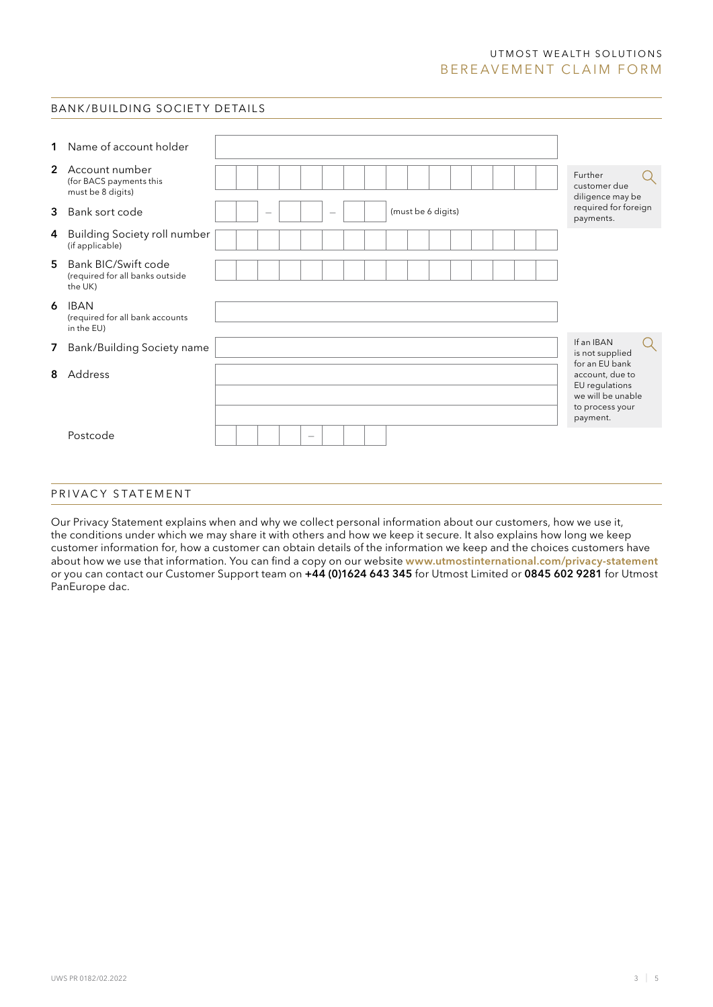#### UTMOST WEALTH SOLUTIONS BEREAVEMENT CLAIM FORM

#### BANK/BUILDING SOCIETY DETAILS

| 1 | Name of account holder                                            |  |                          |                          |  |  |                    |  |  |  |  |  |                                                                                                         |   |
|---|-------------------------------------------------------------------|--|--------------------------|--------------------------|--|--|--------------------|--|--|--|--|--|---------------------------------------------------------------------------------------------------------|---|
|   | 2 Account number<br>(for BACS payments this<br>must be 8 digits)  |  |                          |                          |  |  |                    |  |  |  |  |  | Further<br>customer due<br>diligence may be                                                             |   |
| 3 | Bank sort code                                                    |  |                          | $\overline{\phantom{m}}$ |  |  | (must be 6 digits) |  |  |  |  |  | required for foreign<br>payments.                                                                       |   |
| 4 | <b>Building Society roll number</b><br>(if applicable)            |  |                          |                          |  |  |                    |  |  |  |  |  |                                                                                                         |   |
| 5 | Bank BIC/Swift code<br>(required for all banks outside<br>the UK) |  |                          |                          |  |  |                    |  |  |  |  |  |                                                                                                         |   |
| 6 | <b>IBAN</b><br>(required for all bank accounts<br>in the EU)      |  |                          |                          |  |  |                    |  |  |  |  |  |                                                                                                         |   |
| 7 | Bank/Building Society name                                        |  |                          |                          |  |  |                    |  |  |  |  |  | If an IBAN<br>is not supplied                                                                           | Q |
| 8 | Address                                                           |  |                          |                          |  |  |                    |  |  |  |  |  | for an EU bank<br>account, due to<br>EU regulations<br>we will be unable<br>to process your<br>payment. |   |
|   | Postcode                                                          |  | $\overline{\phantom{a}}$ |                          |  |  |                    |  |  |  |  |  |                                                                                                         |   |

#### PRIVACY STATEMENT

Our Privacy Statement explains when and why we collect personal information about our customers, how we use it, the conditions under which we may share it with others and how we keep it secure. It also explains how long we keep customer information for, how a customer can obtain details of the information we keep and the choices customers have about how we use that information. You can find a copy on our website www.utmostinternational.com/privacy-statement or you can contact our Customer Support team on +44 (0)1624 643 345 for Utmost Limited or 0845 602 9281 for Utmost PanEurope dac.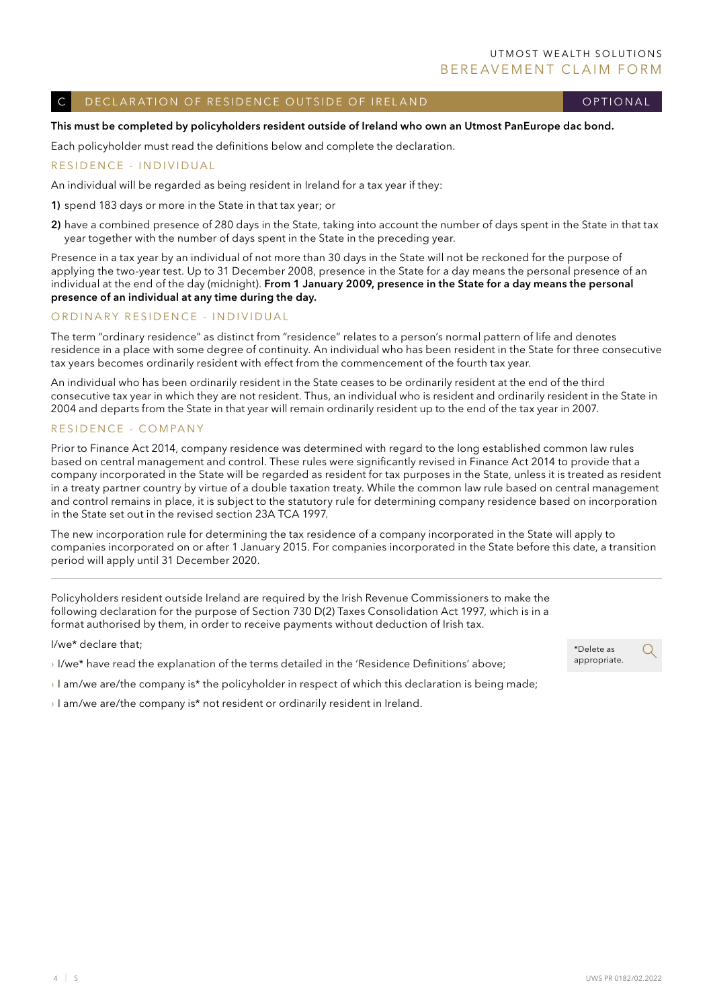#### DECLARATION OF RESIDENCE OUTSIDE OF IRELAND

optional

#### This must be completed by policyholders resident outside of Ireland who own an Utmost PanEurope dac bond.

Each policyholder must read the definitions below and complete the declaration.

#### RESIDENCE - INDIVIDUAL

An individual will be regarded as being resident in Ireland for a tax year if they:

1) spend 183 days or more in the State in that tax year; or

2) have a combined presence of 280 days in the State, taking into account the number of days spent in the State in that tax year together with the number of days spent in the State in the preceding year.

Presence in a tax year by an individual of not more than 30 days in the State will not be reckoned for the purpose of applying the two-year test. Up to 31 December 2008, presence in the State for a day means the personal presence of an individual at the end of the day (midnight). From 1 January 2009, presence in the State for a day means the personal presence of an individual at any time during the day.

#### ORDINARY RESIDENCE - INDIVIDUAL

The term "ordinary residence" as distinct from "residence" relates to a person's normal pattern of life and denotes residence in a place with some degree of continuity. An individual who has been resident in the State for three consecutive tax years becomes ordinarily resident with effect from the commencement of the fourth tax year.

An individual who has been ordinarily resident in the State ceases to be ordinarily resident at the end of the third consecutive tax year in which they are not resident. Thus, an individual who is resident and ordinarily resident in the State in 2004 and departs from the State in that year will remain ordinarily resident up to the end of the tax year in 2007.

#### R esidence - C ompany

Prior to Finance Act 2014, company residence was determined with regard to the long established common law rules based on central management and control. These rules were significantly revised in Finance Act 2014 to provide that a company incorporated in the State will be regarded as resident for tax purposes in the State, unless it is treated as resident in a treaty partner country by virtue of a double taxation treaty. While the common law rule based on central management and control remains in place, it is subject to the statutory rule for determining company residence based on incorporation in the State set out in the revised section 23A TCA 1997.

The new incorporation rule for determining the tax residence of a company incorporated in the State will apply to companies incorporated on or after 1 January 2015. For companies incorporated in the State before this date, a transition period will apply until 31 December 2020.

Policyholders resident outside Ireland are required by the Irish Revenue Commissioners to make the following declaration for the purpose of Section 730 D(2) Taxes Consolidation Act 1997, which is in a format authorised by them, in order to receive payments without deduction of Irish tax.

I/we\* declare that;

› I/we\* have read the explanation of the terms detailed in the 'Residence Definitions' above;

 $\rightarrow$  I am/we are/the company is\* the policyholder in respect of which this declaration is being made;

› I am/we are/the company is\* not resident or ordinarily resident in Ireland.

\*Delete as appropriate.